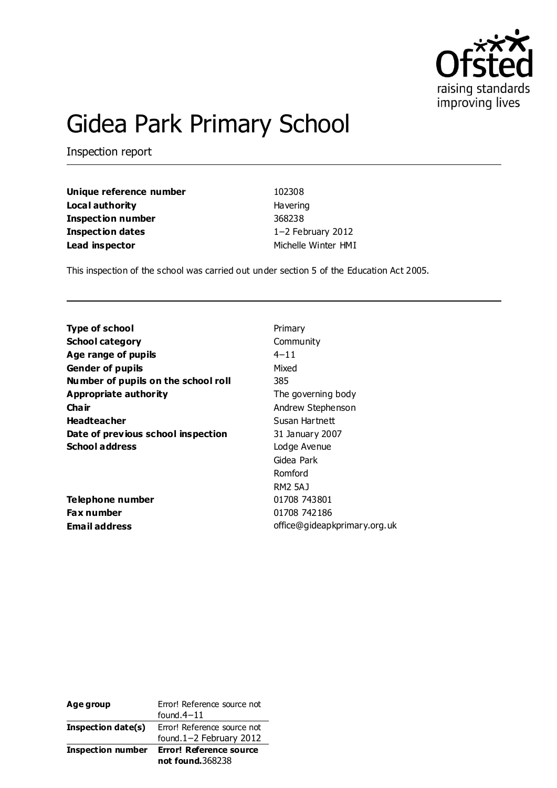

# Gidea Park Primary School

Inspection report

**Unique reference number** 102308 **Local authority Havering Inspection number** 368238 **Inspection dates** 1−2 February 2012 **Lead inspector** Michelle Winter HMI

This inspection of the school was carried out under section 5 of the Education Act 2005.

| <b>Type of school</b>               | Primary        |
|-------------------------------------|----------------|
| <b>School category</b>              | Community      |
| Age range of pupils                 | $4 - 11$       |
| <b>Gender of pupils</b>             | Mixed          |
| Number of pupils on the school roll | 385            |
| Appropriate authority               | The governing  |
| Cha ir                              | Andrew Steph   |
| <b>Headteacher</b>                  | Susan Hartnet  |
| Date of previous school inspection  | 31 January 20  |
| <b>School address</b>               | Lodge Avenue   |
|                                     | Gidea Park     |
|                                     | Romford        |
|                                     | <b>RM2 5AJ</b> |
|                                     |                |

**Telephone number** 01708 743801 **Fax number** 01708 742186

*Perning body* **Stephenson Hartnett Dary 2007** ark RM2 5AJ **Email address Email address office@gideapkprimary.org.uk** 

| Age group                | Error! Reference source not<br>found $4-11$            |
|--------------------------|--------------------------------------------------------|
| Inspection date(s)       | Error! Reference source not<br>found.1-2 February 2012 |
| <b>Inspection number</b> | <b>Error! Reference source</b><br>not found.368238     |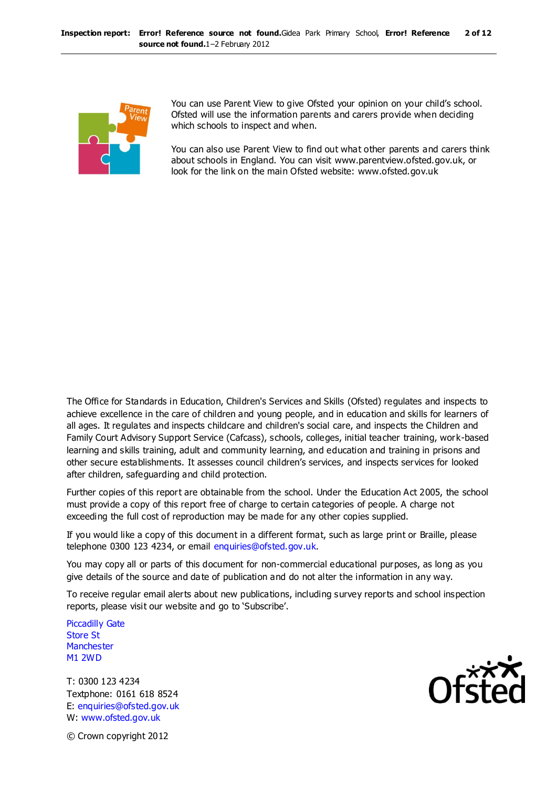

You can use Parent View to give Ofsted your opinion on your child's school. Ofsted will use the information parents and carers provide when deciding which schools to inspect and when.

You can also use Parent View to find out what other parents and carers think about schools in England. You can visit www.parentview.ofsted.gov.uk, or look for the link on the main Ofsted website: www.ofsted.gov.uk

The Office for Standards in Education, Children's Services and Skills (Ofsted) regulates and inspects to achieve excellence in the care of children and young people, and in education and skills for learners of all ages. It regulates and inspects childcare and children's social care, and inspects the Children and Family Court Advisory Support Service (Cafcass), schools, colleges, initial teacher training, work-based learning and skills training, adult and community learning, and education and training in prisons and other secure establishments. It assesses council children's services, and inspects services for looked after children, safeguarding and child protection.

Further copies of this report are obtainable from the school. Under the Education Act 2005, the school must provide a copy of this report free of charge to certain categories of people. A charge not exceeding the full cost of reproduction may be made for any other copies supplied.

If you would like a copy of this document in a different format, such as large print or Braille, please telephone 0300 123 4234, or email enquiries@ofsted.gov.uk.

You may copy all or parts of this document for non-commercial educational purposes, as long as you give details of the source and date of publication and do not alter the information in any way.

To receive regular email alerts about new publications, including survey reports and school inspection reports, please visit our website and go to 'Subscribe'.

Piccadilly Gate Store St **Manchester** M1 2WD

T: 0300 123 4234 Textphone: 0161 618 8524 E: enquiries@ofsted.gov.uk W: www.ofsted.gov.uk



© Crown copyright 2012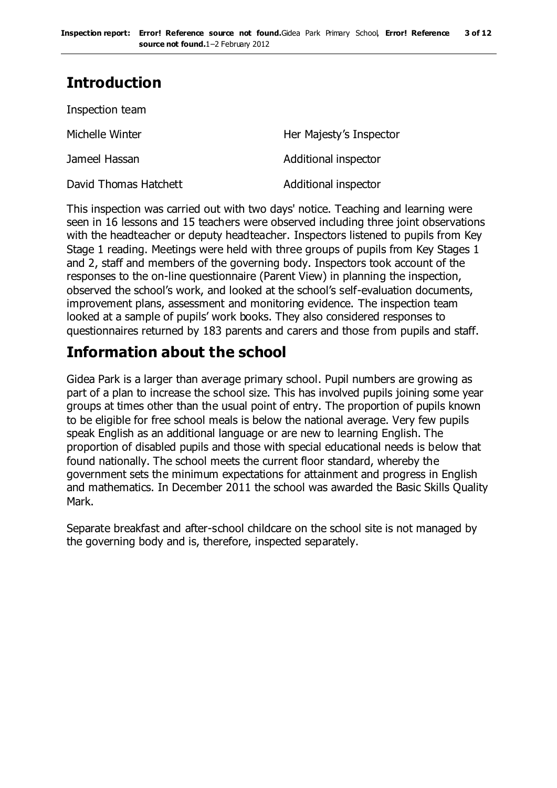# **Introduction**

| Inspection team       |                         |
|-----------------------|-------------------------|
| Michelle Winter       | Her Majesty's Inspector |
| Jameel Hassan         | Additional inspector    |
| David Thomas Hatchett | Additional inspector    |

This inspection was carried out with two days' notice. Teaching and learning were seen in 16 lessons and 15 teachers were observed including three joint observations with the headteacher or deputy headteacher. Inspectors listened to pupils from Key Stage 1 reading. Meetings were held with three groups of pupils from Key Stages 1 and 2, staff and members of the governing body. Inspectors took account of the responses to the on-line questionnaire (Parent View) in planning the inspection, observed the school's work, and looked at the school's self-evaluation documents, improvement plans, assessment and monitoring evidence. The inspection team looked at a sample of pupils' work books. They also considered responses to questionnaires returned by 183 parents and carers and those from pupils and staff.

## **Information about the school**

Gidea Park is a larger than average primary school. Pupil numbers are growing as part of a plan to increase the school size. This has involved pupils joining some year groups at times other than the usual point of entry. The proportion of pupils known to be eligible for free school meals is below the national average. Very few pupils speak English as an additional language or are new to learning English. The proportion of disabled pupils and those with special educational needs is below that found nationally. The school meets the current floor standard, whereby the government sets the minimum expectations for attainment and progress in English and mathematics. In December 2011 the school was awarded the Basic Skills Quality Mark.

Separate breakfast and after-school childcare on the school site is not managed by the governing body and is, therefore, inspected separately.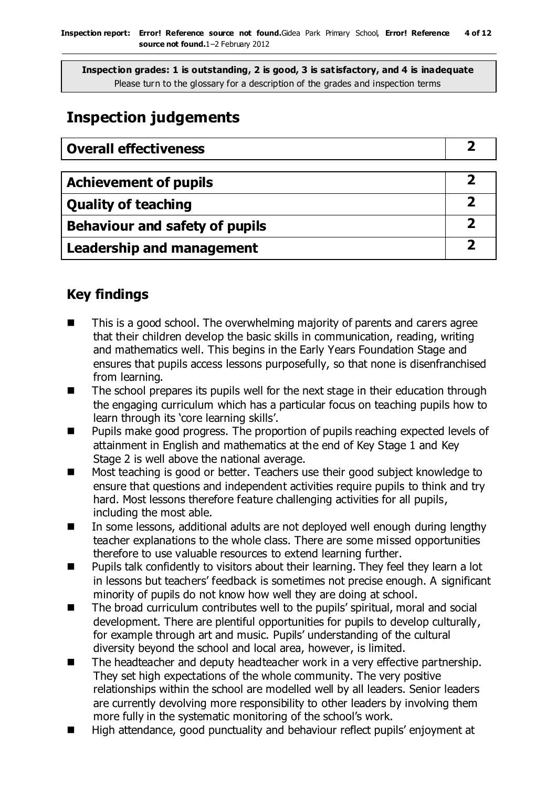**Inspection grades: 1 is outstanding, 2 is good, 3 is satisfactory, and 4 is inadequate** Please turn to the glossary for a description of the grades and inspection terms

# **Inspection judgements**

| <b>Overall effectiveness</b> |  |
|------------------------------|--|
|------------------------------|--|

| <b>Achievement of pupils</b>   |  |
|--------------------------------|--|
| <b>Quality of teaching</b>     |  |
| Behaviour and safety of pupils |  |
| Leadership and management      |  |

### **Key findings**

- This is a good school. The overwhelming majority of parents and carers agree that their children develop the basic skills in communication, reading, writing and mathematics well. This begins in the Early Years Foundation Stage and ensures that pupils access lessons purposefully, so that none is disenfranchised from learning.
- The school prepares its pupils well for the next stage in their education through the engaging curriculum which has a particular focus on teaching pupils how to learn through its 'core learning skills'.
- **Pupils make good progress. The proportion of pupils reaching expected levels of** attainment in English and mathematics at the end of Key Stage 1 and Key Stage 2 is well above the national average.
- Most teaching is good or better. Teachers use their good subject knowledge to ensure that questions and independent activities require pupils to think and try hard. Most lessons therefore feature challenging activities for all pupils, including the most able.
- In some lessons, additional adults are not deployed well enough during lengthy teacher explanations to the whole class. There are some missed opportunities therefore to use valuable resources to extend learning further.
- Pupils talk confidently to visitors about their learning. They feel they learn a lot in lessons but teachers' feedback is sometimes not precise enough. A significant minority of pupils do not know how well they are doing at school.
- The broad curriculum contributes well to the pupils' spiritual, moral and social development. There are plentiful opportunities for pupils to develop culturally, for example through art and music. Pupils' understanding of the cultural diversity beyond the school and local area, however, is limited.
- The headteacher and deputy headteacher work in a very effective partnership. They set high expectations of the whole community. The very positive relationships within the school are modelled well by all leaders. Senior leaders are currently devolving more responsibility to other leaders by involving them more fully in the systematic monitoring of the school's work.
- High attendance, good punctuality and behaviour reflect pupils' enjoyment at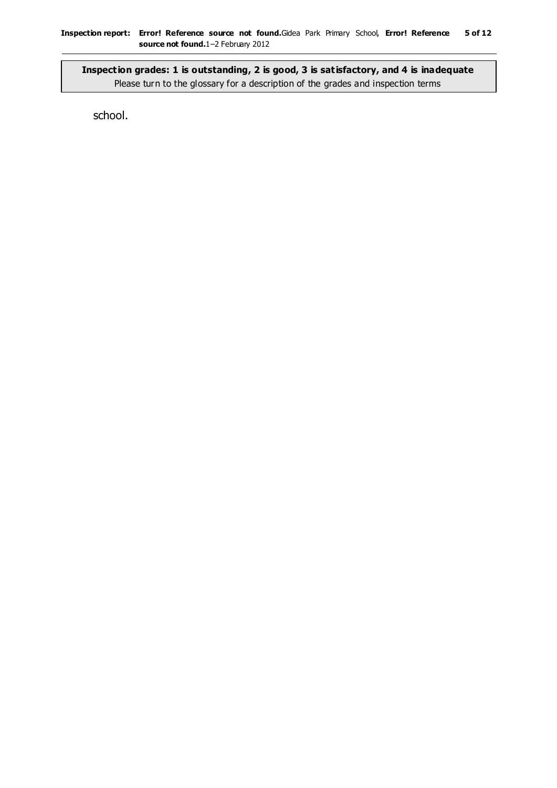**Inspection grades: 1 is outstanding, 2 is good, 3 is satisfactory, and 4 is inadequate** Please turn to the glossary for a description of the grades and inspection terms

school.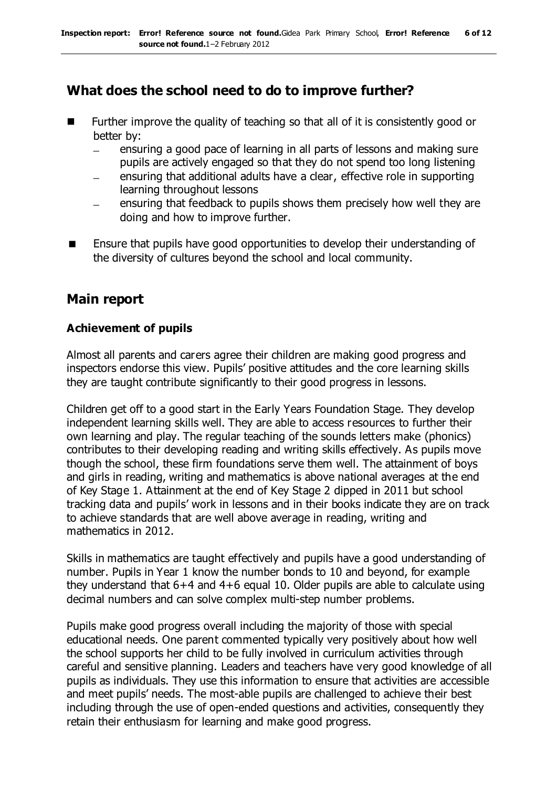### **What does the school need to do to improve further?**

- Further improve the quality of teaching so that all of it is consistently good or better by:
	- ensuring a good pace of learning in all parts of lessons and making sure  $\equiv$ pupils are actively engaged so that they do not spend too long listening
	- ensuring that additional adults have a clear, effective role in supporting learning throughout lessons
	- ensuring that feedback to pupils shows them precisely how well they are doing and how to improve further.
- Ensure that pupils have good opportunities to develop their understanding of the diversity of cultures beyond the school and local community.

### **Main report**

#### **Achievement of pupils**

Almost all parents and carers agree their children are making good progress and inspectors endorse this view. Pupils' positive attitudes and the core learning skills they are taught contribute significantly to their good progress in lessons.

Children get off to a good start in the Early Years Foundation Stage. They develop independent learning skills well. They are able to access resources to further their own learning and play. The regular teaching of the sounds letters make (phonics) contributes to their developing reading and writing skills effectively. As pupils move though the school, these firm foundations serve them well. The attainment of boys and girls in reading, writing and mathematics is above national averages at the end of Key Stage 1. Attainment at the end of Key Stage 2 dipped in 2011 but school tracking data and pupils' work in lessons and in their books indicate they are on track to achieve standards that are well above average in reading, writing and mathematics in 2012.

Skills in mathematics are taught effectively and pupils have a good understanding of number. Pupils in Year 1 know the number bonds to 10 and beyond, for example they understand that 6+4 and 4+6 equal 10. Older pupils are able to calculate using decimal numbers and can solve complex multi-step number problems.

Pupils make good progress overall including the majority of those with special educational needs. One parent commented typically very positively about how well the school supports her child to be fully involved in curriculum activities through careful and sensitive planning. Leaders and teachers have very good knowledge of all pupils as individuals. They use this information to ensure that activities are accessible and meet pupils' needs. The most-able pupils are challenged to achieve their best including through the use of open-ended questions and activities, consequently they retain their enthusiasm for learning and make good progress.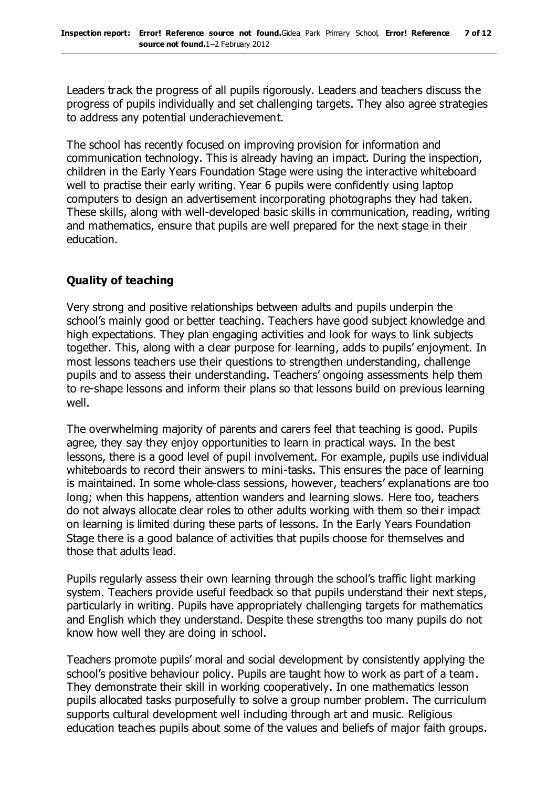Leaders track the progress of all pupils rigorously. Leaders and teachers discuss the progress of pupils individually and set challenging targets. They also agree strategies to address any potential underachievement.

The school has recently focused on improving provision for information and communication technology. This is already having an impact. During the inspection, children in the Early Years Foundation Stage were using the interactive whiteboard well to practise their early writing. Year 6 pupils were confidently using laptop computers to design an advertisement incorporating photographs they had taken. These skills, along with well-developed basic skills in communication, reading, writing and mathematics, ensure that pupils are well prepared for the next stage in their education.

#### **Quality of teaching**

Very strong and positive relationships between adults and pupils underpin the school's mainly good or better teaching. Teachers have good subject knowledge and high expectations. They plan engaging activities and look for ways to link subjects together. This, along with a clear purpose for learning, adds to pupils' enjoyment. In most lessons teachers use their questions to strengthen understanding, challenge pupils and to assess their understanding. Teachers' ongoing assessments help them to re-shape lessons and inform their plans so that lessons build on previous learning well.

The overwhelming majority of parents and carers feel that teaching is good. Pupils agree, they say they enjoy opportunities to learn in practical ways. In the best lessons, there is a good level of pupil involvement. For example, pupils use individual whiteboards to record their answers to mini-tasks. This ensures the pace of learning is maintained. In some whole-class sessions, however, teachers' explanations are too long; when this happens, attention wanders and learning slows. Here too, teachers do not always allocate clear roles to other adults working with them so their impact on learning is limited during these parts of lessons. In the Early Years Foundation Stage there is a good balance of activities that pupils choose for themselves and those that adults lead.

Pupils regularly assess their own learning through the school's traffic light marking system. Teachers provide useful feedback so that pupils understand their next steps, particularly in writing. Pupils have appropriately challenging targets for mathematics and English which they understand. Despite these strengths too many pupils do not know how well they are doing in school.

Teachers promote pupils' moral and social development by consistently applying the school's positive behaviour policy. Pupils are taught how to work as part of a team. They demonstrate their skill in working cooperatively. In one mathematics lesson pupils allocated tasks purposefully to solve a group number problem. The curriculum supports cultural development well including through art and music. Religious education teaches pupils about some of the values and beliefs of major faith groups.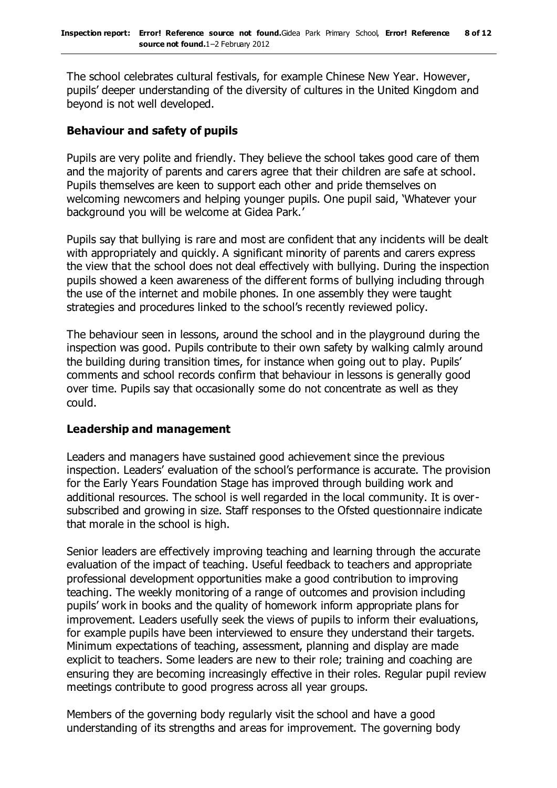The school celebrates cultural festivals, for example Chinese New Year. However, pupils' deeper understanding of the diversity of cultures in the United Kingdom and beyond is not well developed.

#### **Behaviour and safety of pupils**

Pupils are very polite and friendly. They believe the school takes good care of them and the majority of parents and carers agree that their children are safe at school. Pupils themselves are keen to support each other and pride themselves on welcoming newcomers and helping younger pupils. One pupil said, 'Whatever your background you will be welcome at Gidea Park.'

Pupils say that bullying is rare and most are confident that any incidents will be dealt with appropriately and quickly. A significant minority of parents and carers express the view that the school does not deal effectively with bullying. During the inspection pupils showed a keen awareness of the different forms of bullying including through the use of the internet and mobile phones. In one assembly they were taught strategies and procedures linked to the school's recently reviewed policy.

The behaviour seen in lessons, around the school and in the playground during the inspection was good. Pupils contribute to their own safety by walking calmly around the building during transition times, for instance when going out to play. Pupils' comments and school records confirm that behaviour in lessons is generally good over time. Pupils say that occasionally some do not concentrate as well as they could.

#### **Leadership and management**

Leaders and managers have sustained good achievement since the previous inspection. Leaders' evaluation of the school's performance is accurate. The provision for the Early Years Foundation Stage has improved through building work and additional resources. The school is well regarded in the local community. It is oversubscribed and growing in size. Staff responses to the Ofsted questionnaire indicate that morale in the school is high.

Senior leaders are effectively improving teaching and learning through the accurate evaluation of the impact of teaching. Useful feedback to teachers and appropriate professional development opportunities make a good contribution to improving teaching. The weekly monitoring of a range of outcomes and provision including pupils' work in books and the quality of homework inform appropriate plans for improvement. Leaders usefully seek the views of pupils to inform their evaluations, for example pupils have been interviewed to ensure they understand their targets. Minimum expectations of teaching, assessment, planning and display are made explicit to teachers. Some leaders are new to their role; training and coaching are ensuring they are becoming increasingly effective in their roles. Regular pupil review meetings contribute to good progress across all year groups.

Members of the governing body regularly visit the school and have a good understanding of its strengths and areas for improvement. The governing body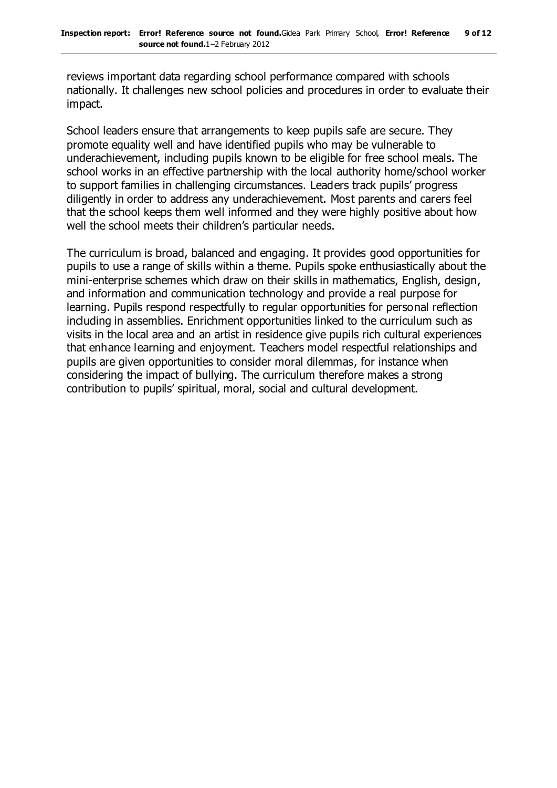reviews important data regarding school performance compared with schools nationally. It challenges new school policies and procedures in order to evaluate their impact.

School leaders ensure that arrangements to keep pupils safe are secure. They promote equality well and have identified pupils who may be vulnerable to underachievement, including pupils known to be eligible for free school meals. The school works in an effective partnership with the local authority home/school worker to support families in challenging circumstances. Leaders track pupils' progress diligently in order to address any underachievement. Most parents and carers feel that the school keeps them well informed and they were highly positive about how well the school meets their children's particular needs.

The curriculum is broad, balanced and engaging. It provides good opportunities for pupils to use a range of skills within a theme. Pupils spoke enthusiastically about the mini-enterprise schemes which draw on their skills in mathematics, English, design, and information and communication technology and provide a real purpose for learning. Pupils respond respectfully to regular opportunities for personal reflection including in assemblies. Enrichment opportunities linked to the curriculum such as visits in the local area and an artist in residence give pupils rich cultural experiences that enhance learning and enjoyment. Teachers model respectful relationships and pupils are given opportunities to consider moral dilemmas, for instance when considering the impact of bullying. The curriculum therefore makes a strong contribution to pupils' spiritual, moral, social and cultural development.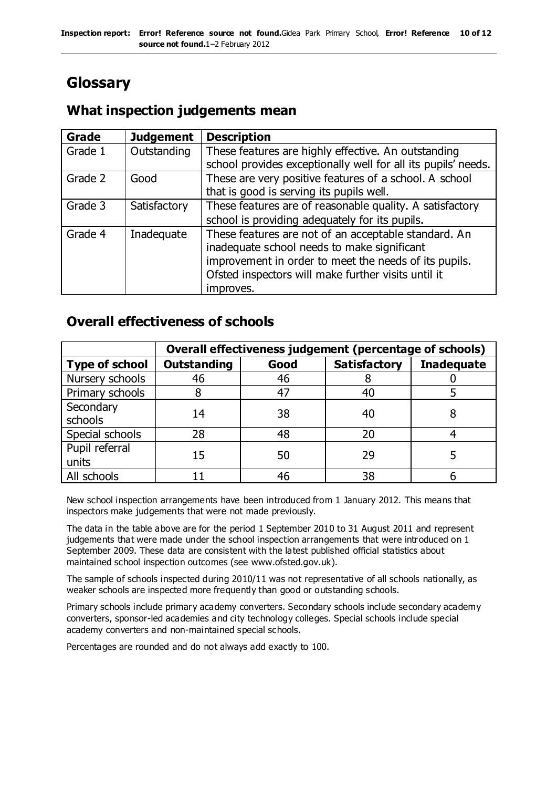# **Glossary**

### **What inspection judgements mean**

| Grade   | <b>Judgement</b> | <b>Description</b>                                            |
|---------|------------------|---------------------------------------------------------------|
| Grade 1 | Outstanding      | These features are highly effective. An outstanding           |
|         |                  | school provides exceptionally well for all its pupils' needs. |
| Grade 2 | Good             | These are very positive features of a school. A school        |
|         |                  | that is good is serving its pupils well.                      |
| Grade 3 | Satisfactory     | These features are of reasonable quality. A satisfactory      |
|         |                  | school is providing adequately for its pupils.                |
| Grade 4 | Inadequate       | These features are not of an acceptable standard. An          |
|         |                  | inadequate school needs to make significant                   |
|         |                  | improvement in order to meet the needs of its pupils.         |
|         |                  | Ofsted inspectors will make further visits until it           |
|         |                  | improves.                                                     |

### **Overall effectiveness of schools**

|                         | Overall effectiveness judgement (percentage of schools) |      |                     |                   |
|-------------------------|---------------------------------------------------------|------|---------------------|-------------------|
| <b>Type of school</b>   | <b>Outstanding</b>                                      | Good | <b>Satisfactory</b> | <b>Inadequate</b> |
| Nursery schools         | 46                                                      | 46   |                     |                   |
| Primary schools         |                                                         | 47   | 40                  |                   |
| Secondary<br>schools    | 14                                                      | 38   | 40                  |                   |
| Special schools         | 28                                                      | 48   | 20                  |                   |
| Pupil referral<br>units | 15                                                      | 50   | 29                  |                   |
| All schools             |                                                         | 46   | 38                  |                   |

New school inspection arrangements have been introduced from 1 January 2012. This means that inspectors make judgements that were not made previously.

The data in the table above are for the period 1 September 2010 to 31 August 2011 and represent judgements that were made under the school inspection arrangements that were introduced on 1 September 2009. These data are consistent with the latest published official statistics about maintained school inspection outcomes (see www.ofsted.gov.uk).

The sample of schools inspected during 2010/11 was not representative of all schools nationally, as weaker schools are inspected more frequently than good or outstanding schools.

Primary schools include primary academy converters. Secondary schools include secondary academy converters, sponsor-led academies and city technology colleges. Special schools include special academy converters and non-maintained special schools.

Percentages are rounded and do not always add exactly to 100.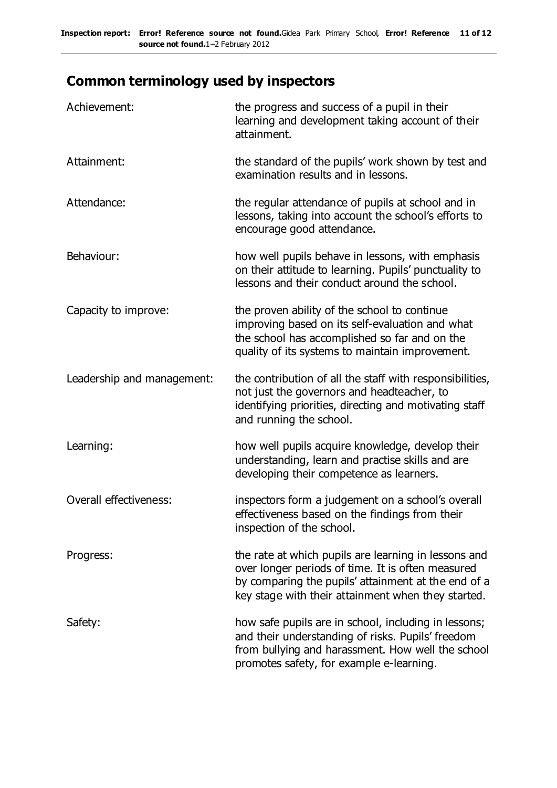# **Common terminology used by inspectors**

| Achievement:                  | the progress and success of a pupil in their<br>learning and development taking account of their<br>attainment.                                                                                                        |
|-------------------------------|------------------------------------------------------------------------------------------------------------------------------------------------------------------------------------------------------------------------|
| Attainment:                   | the standard of the pupils' work shown by test and<br>examination results and in lessons.                                                                                                                              |
| Attendance:                   | the regular attendance of pupils at school and in<br>lessons, taking into account the school's efforts to<br>encourage good attendance.                                                                                |
| Behaviour:                    | how well pupils behave in lessons, with emphasis<br>on their attitude to learning. Pupils' punctuality to<br>lessons and their conduct around the school.                                                              |
| Capacity to improve:          | the proven ability of the school to continue<br>improving based on its self-evaluation and what<br>the school has accomplished so far and on the<br>quality of its systems to maintain improvement.                    |
| Leadership and management:    | the contribution of all the staff with responsibilities,<br>not just the governors and headteacher, to<br>identifying priorities, directing and motivating staff<br>and running the school.                            |
| Learning:                     | how well pupils acquire knowledge, develop their<br>understanding, learn and practise skills and are<br>developing their competence as learners.                                                                       |
| <b>Overall effectiveness:</b> | inspectors form a judgement on a school's overall<br>effectiveness based on the findings from their<br>inspection of the school.                                                                                       |
| Progress:                     | the rate at which pupils are learning in lessons and<br>over longer periods of time. It is often measured<br>by comparing the pupils' attainment at the end of a<br>key stage with their attainment when they started. |
| Safety:                       | how safe pupils are in school, including in lessons;<br>and their understanding of risks. Pupils' freedom<br>from bullying and harassment. How well the school<br>promotes safety, for example e-learning.             |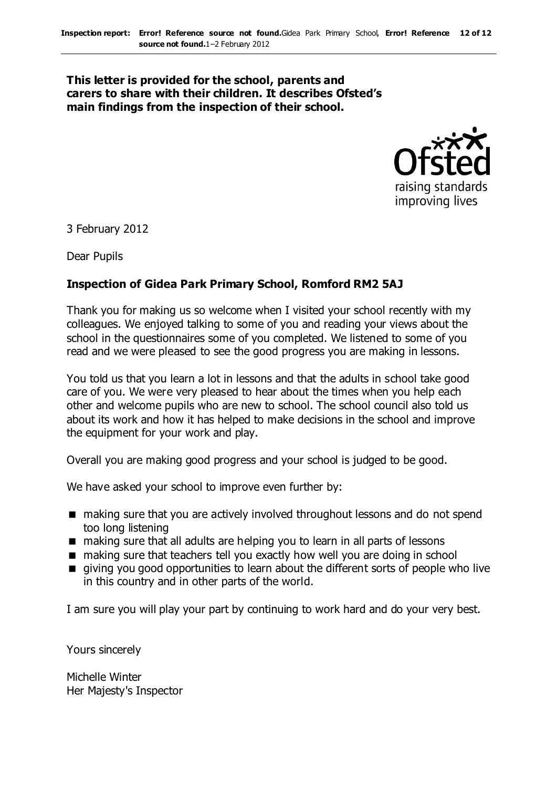#### **This letter is provided for the school, parents and carers to share with their children. It describes Ofsted's main findings from the inspection of their school.**



3 February 2012

Dear Pupils

#### **Inspection of Gidea Park Primary School, Romford RM2 5AJ**

Thank you for making us so welcome when I visited your school recently with my colleagues. We enjoyed talking to some of you and reading your views about the school in the questionnaires some of you completed. We listened to some of you read and we were pleased to see the good progress you are making in lessons.

You told us that you learn a lot in lessons and that the adults in school take good care of you. We were very pleased to hear about the times when you help each other and welcome pupils who are new to school. The school council also told us about its work and how it has helped to make decisions in the school and improve the equipment for your work and play.

Overall you are making good progress and your school is judged to be good.

We have asked your school to improve even further by:

- making sure that you are actively involved throughout lessons and do not spend too long listening
- making sure that all adults are helping you to learn in all parts of lessons
- making sure that teachers tell you exactly how well you are doing in school
- giving you good opportunities to learn about the different sorts of people who live in this country and in other parts of the world.

I am sure you will play your part by continuing to work hard and do your very best.

Yours sincerely

Michelle Winter Her Majesty's Inspector